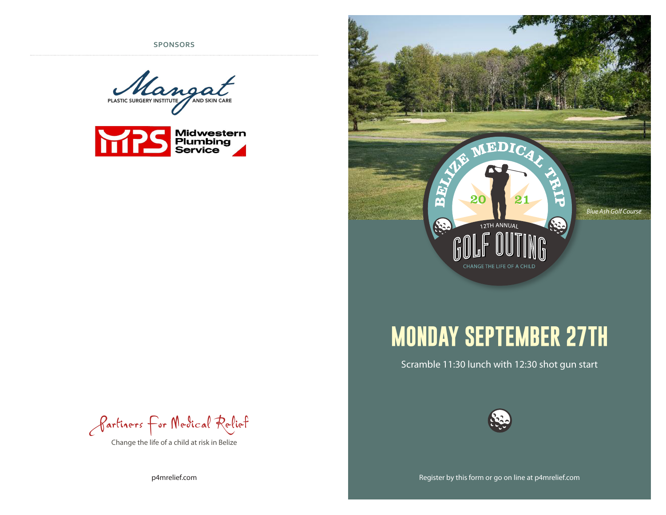**SPONSORS**







## **MONDAY SEPTEMBER 27TH**

Scramble 11:30 lunch with 12:30 shot gun start





Change the life of a child at risk in Belize

p4mrelief.com

Register by this form or go on line at p4mrelief.com